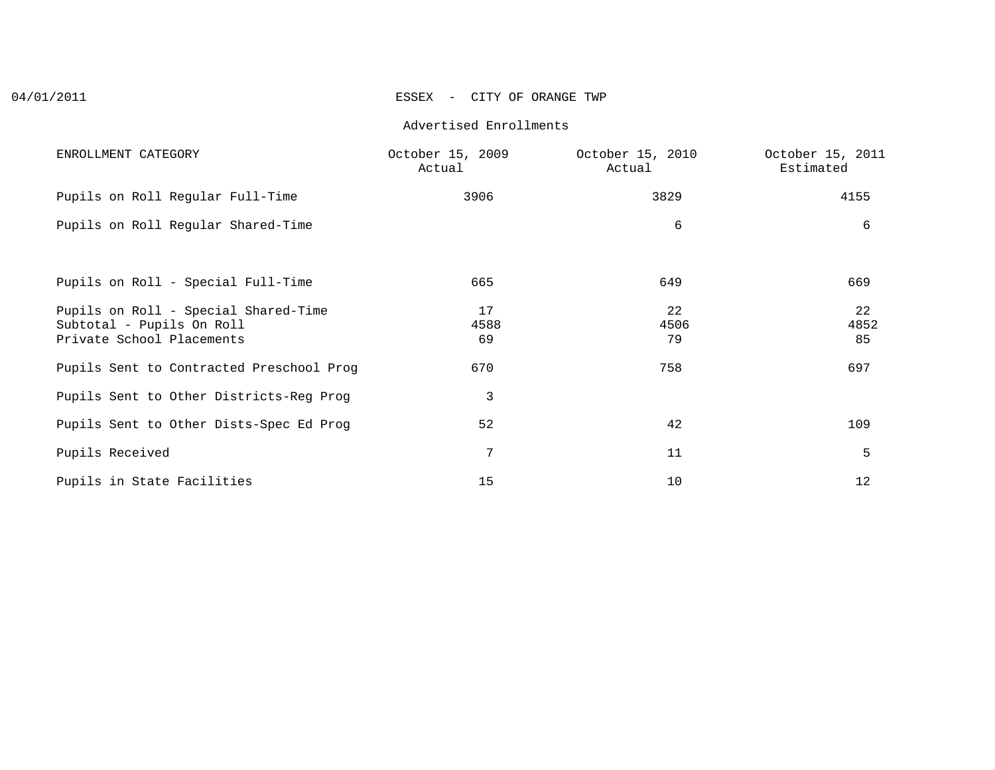## 04/01/2011 ESSEX - CITY OF ORANGE TWP

#### Advertised Enrollments

| ENROLLMENT CATEGORY                                                                            | October 15, 2009<br>Actual | October 15, 2010<br>Actual | October 15, 2011<br>Estimated |
|------------------------------------------------------------------------------------------------|----------------------------|----------------------------|-------------------------------|
| Pupils on Roll Regular Full-Time                                                               | 3906                       | 3829                       | 4155                          |
| Pupils on Roll Regular Shared-Time                                                             |                            | 6                          | 6                             |
| Pupils on Roll - Special Full-Time                                                             | 665                        | 649                        | 669                           |
| Pupils on Roll - Special Shared-Time<br>Subtotal - Pupils On Roll<br>Private School Placements | 17<br>4588<br>69           | 22<br>4506<br>79           | 22<br>4852<br>85              |
| Pupils Sent to Contracted Preschool Prog                                                       | 670                        | 758                        | 697                           |
| Pupils Sent to Other Districts-Reg Prog                                                        | 3                          |                            |                               |
| Pupils Sent to Other Dists-Spec Ed Prog                                                        | 52                         | 42                         | 109                           |
| Pupils Received                                                                                | 7                          | 11                         | 5                             |
| Pupils in State Facilities                                                                     | 15                         | 10                         | 12                            |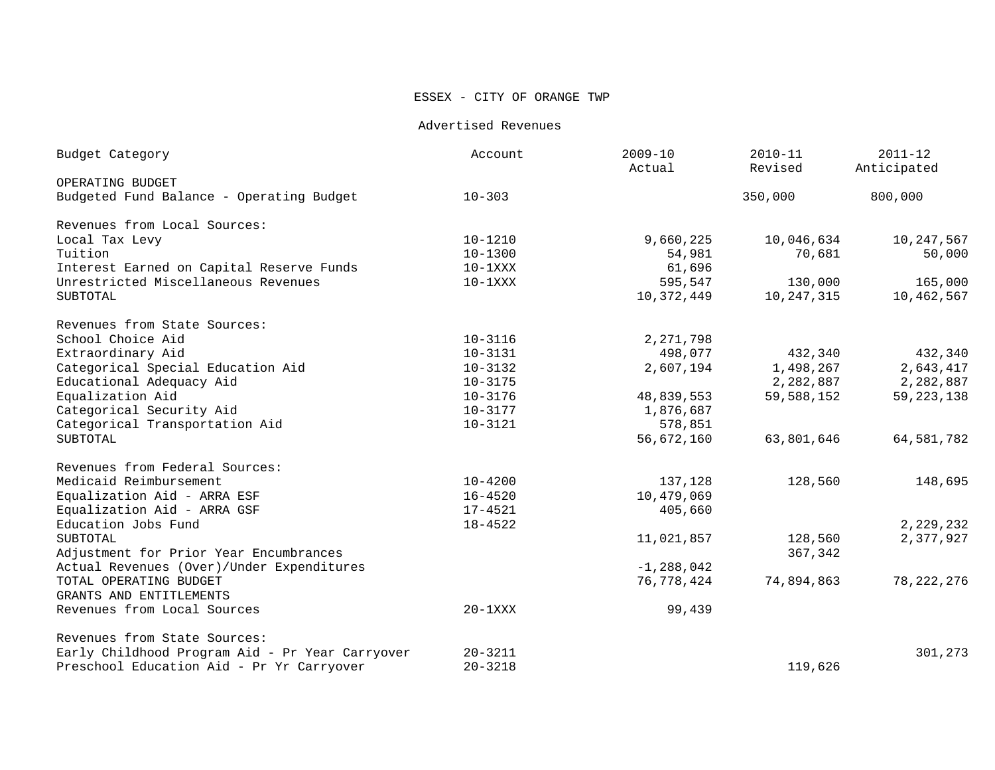## ESSEX - CITY OF ORANGE TWP

Advertised Revenues

| $10 - 303$<br>350,000<br>800,000<br>$10 - 1210$<br>9,660,225<br>10,046,634<br>$10 - 1300$<br>54,981<br>70,681<br>61,696<br>$10-1$ XXX<br>$10-1XXX$<br>595,547<br>130,000<br><b>SUBTOTAL</b><br>10,247,315<br>10,372,449<br>$10 - 3116$<br>2,271,798<br>$10 - 3131$<br>498,077<br>432,340<br>$10 - 3132$<br>2,607,194<br>1,498,267<br>Educational Adequacy Aid<br>2,282,887<br>$10 - 3175$<br>$10 - 3176$<br>48,839,553<br>59,588,152<br>10-3177<br>1,876,687<br>Categorical Transportation Aid<br>$10 - 3121$<br>578,851<br>56,672,160<br>63,801,646<br>$10 - 4200$<br>137,128<br>128,560<br>$16 - 4520$<br>10,479,069<br>Equalization Aid - ARRA GSF<br>$17 - 4521$<br>405,660<br>$18 - 4522$<br>11,021,857<br>128,560<br>367,342<br>$-1, 288, 042$<br>76,778,424<br>74,894,863<br>$20-1XXX$<br>99,439<br>$20 - 3211$<br>$20 - 3218$<br>119,626 | Budget Category                                 | Account | $2009 - 10$<br>Actual | $2010 - 11$<br>Revised | $2011 - 12$<br>Anticipated |
|--------------------------------------------------------------------------------------------------------------------------------------------------------------------------------------------------------------------------------------------------------------------------------------------------------------------------------------------------------------------------------------------------------------------------------------------------------------------------------------------------------------------------------------------------------------------------------------------------------------------------------------------------------------------------------------------------------------------------------------------------------------------------------------------------------------------------------------------------|-------------------------------------------------|---------|-----------------------|------------------------|----------------------------|
|                                                                                                                                                                                                                                                                                                                                                                                                                                                                                                                                                                                                                                                                                                                                                                                                                                                  | OPERATING BUDGET                                |         |                       |                        |                            |
|                                                                                                                                                                                                                                                                                                                                                                                                                                                                                                                                                                                                                                                                                                                                                                                                                                                  | Budgeted Fund Balance - Operating Budget        |         |                       |                        |                            |
|                                                                                                                                                                                                                                                                                                                                                                                                                                                                                                                                                                                                                                                                                                                                                                                                                                                  | Revenues from Local Sources:                    |         |                       |                        |                            |
|                                                                                                                                                                                                                                                                                                                                                                                                                                                                                                                                                                                                                                                                                                                                                                                                                                                  | Local Tax Levy                                  |         |                       |                        | 10,247,567                 |
|                                                                                                                                                                                                                                                                                                                                                                                                                                                                                                                                                                                                                                                                                                                                                                                                                                                  | Tuition                                         |         |                       |                        | 50,000                     |
|                                                                                                                                                                                                                                                                                                                                                                                                                                                                                                                                                                                                                                                                                                                                                                                                                                                  | Interest Earned on Capital Reserve Funds        |         |                       |                        |                            |
|                                                                                                                                                                                                                                                                                                                                                                                                                                                                                                                                                                                                                                                                                                                                                                                                                                                  | Unrestricted Miscellaneous Revenues             |         |                       |                        | 165,000                    |
|                                                                                                                                                                                                                                                                                                                                                                                                                                                                                                                                                                                                                                                                                                                                                                                                                                                  |                                                 |         |                       |                        | 10,462,567                 |
|                                                                                                                                                                                                                                                                                                                                                                                                                                                                                                                                                                                                                                                                                                                                                                                                                                                  | Revenues from State Sources:                    |         |                       |                        |                            |
|                                                                                                                                                                                                                                                                                                                                                                                                                                                                                                                                                                                                                                                                                                                                                                                                                                                  | School Choice Aid                               |         |                       |                        |                            |
|                                                                                                                                                                                                                                                                                                                                                                                                                                                                                                                                                                                                                                                                                                                                                                                                                                                  | Extraordinary Aid                               |         |                       |                        | 432,340                    |
|                                                                                                                                                                                                                                                                                                                                                                                                                                                                                                                                                                                                                                                                                                                                                                                                                                                  | Categorical Special Education Aid               |         |                       |                        | 2,643,417                  |
|                                                                                                                                                                                                                                                                                                                                                                                                                                                                                                                                                                                                                                                                                                                                                                                                                                                  |                                                 |         |                       |                        | 2,282,887                  |
|                                                                                                                                                                                                                                                                                                                                                                                                                                                                                                                                                                                                                                                                                                                                                                                                                                                  | Equalization Aid                                |         |                       |                        | 59, 223, 138               |
|                                                                                                                                                                                                                                                                                                                                                                                                                                                                                                                                                                                                                                                                                                                                                                                                                                                  | Categorical Security Aid                        |         |                       |                        |                            |
|                                                                                                                                                                                                                                                                                                                                                                                                                                                                                                                                                                                                                                                                                                                                                                                                                                                  |                                                 |         |                       |                        |                            |
|                                                                                                                                                                                                                                                                                                                                                                                                                                                                                                                                                                                                                                                                                                                                                                                                                                                  | SUBTOTAL                                        |         |                       |                        | 64,581,782                 |
|                                                                                                                                                                                                                                                                                                                                                                                                                                                                                                                                                                                                                                                                                                                                                                                                                                                  | Revenues from Federal Sources:                  |         |                       |                        |                            |
|                                                                                                                                                                                                                                                                                                                                                                                                                                                                                                                                                                                                                                                                                                                                                                                                                                                  | Medicaid Reimbursement                          |         |                       |                        | 148,695                    |
|                                                                                                                                                                                                                                                                                                                                                                                                                                                                                                                                                                                                                                                                                                                                                                                                                                                  | Equalization Aid - ARRA ESF                     |         |                       |                        |                            |
|                                                                                                                                                                                                                                                                                                                                                                                                                                                                                                                                                                                                                                                                                                                                                                                                                                                  |                                                 |         |                       |                        |                            |
|                                                                                                                                                                                                                                                                                                                                                                                                                                                                                                                                                                                                                                                                                                                                                                                                                                                  | Education Jobs Fund                             |         |                       |                        | 2,229,232                  |
|                                                                                                                                                                                                                                                                                                                                                                                                                                                                                                                                                                                                                                                                                                                                                                                                                                                  | SUBTOTAL                                        |         |                       |                        | 2,377,927                  |
|                                                                                                                                                                                                                                                                                                                                                                                                                                                                                                                                                                                                                                                                                                                                                                                                                                                  | Adjustment for Prior Year Encumbrances          |         |                       |                        |                            |
|                                                                                                                                                                                                                                                                                                                                                                                                                                                                                                                                                                                                                                                                                                                                                                                                                                                  | Actual Revenues (Over)/Under Expenditures       |         |                       |                        |                            |
|                                                                                                                                                                                                                                                                                                                                                                                                                                                                                                                                                                                                                                                                                                                                                                                                                                                  | TOTAL OPERATING BUDGET                          |         |                       |                        | 78, 222, 276               |
|                                                                                                                                                                                                                                                                                                                                                                                                                                                                                                                                                                                                                                                                                                                                                                                                                                                  | GRANTS AND ENTITLEMENTS                         |         |                       |                        |                            |
|                                                                                                                                                                                                                                                                                                                                                                                                                                                                                                                                                                                                                                                                                                                                                                                                                                                  | Revenues from Local Sources                     |         |                       |                        |                            |
|                                                                                                                                                                                                                                                                                                                                                                                                                                                                                                                                                                                                                                                                                                                                                                                                                                                  | Revenues from State Sources:                    |         |                       |                        |                            |
|                                                                                                                                                                                                                                                                                                                                                                                                                                                                                                                                                                                                                                                                                                                                                                                                                                                  | Early Childhood Program Aid - Pr Year Carryover |         |                       |                        | 301,273                    |
|                                                                                                                                                                                                                                                                                                                                                                                                                                                                                                                                                                                                                                                                                                                                                                                                                                                  | Preschool Education Aid - Pr Yr Carryover       |         |                       |                        |                            |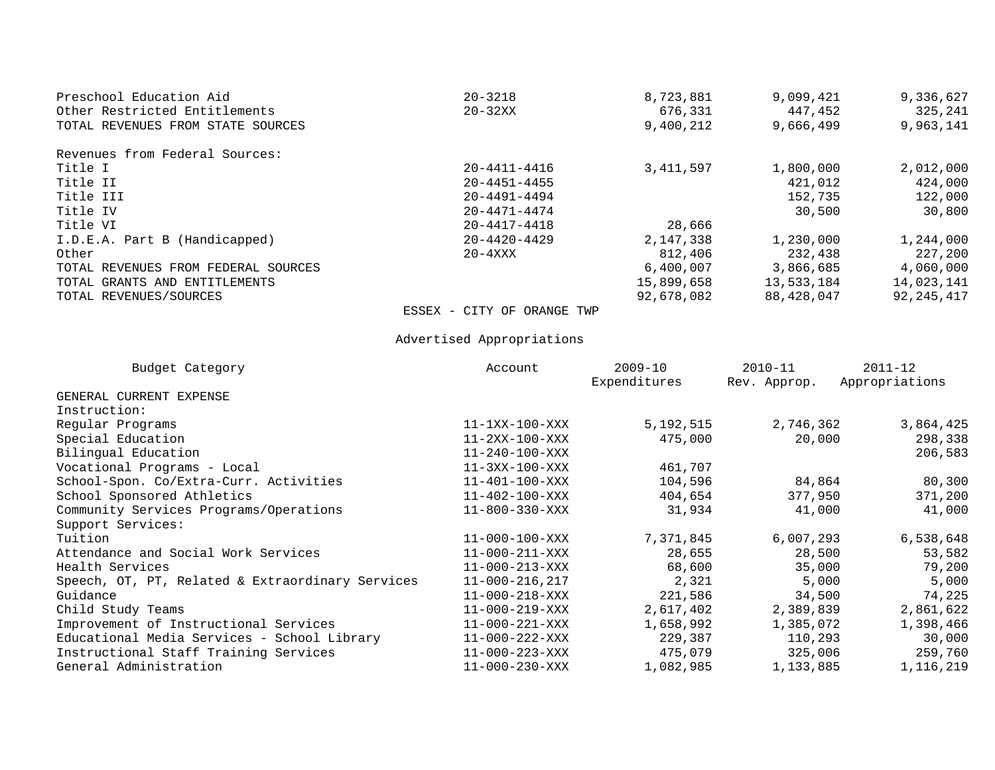| Preschool Education Aid             | $20 - 3218$                | 8,723,881   | 9,099,421  | 9,336,627  |
|-------------------------------------|----------------------------|-------------|------------|------------|
| Other Restricted Entitlements       | $20 - 32XX$                | 676,331     | 447,452    | 325,241    |
| TOTAL REVENUES FROM STATE SOURCES   |                            | 9,400,212   | 9,666,499  | 9,963,141  |
| Revenues from Federal Sources:      |                            |             |            |            |
| Title I                             | $20 - 4411 - 4416$         | 3, 411, 597 | 1,800,000  | 2,012,000  |
| Title II                            | $20 - 4451 - 4455$         |             | 421,012    | 424,000    |
| Title III                           | $20 - 4491 - 4494$         |             | 152,735    | 122,000    |
| Title IV                            | $20 - 4471 - 4474$         |             | 30,500     | 30,800     |
| Title VI                            | $20 - 4417 - 4418$         | 28,666      |            |            |
| I.D.E.A. Part B (Handicapped)       | $20 - 4420 - 4429$         | 2,147,338   | 1,230,000  | 1,244,000  |
| Other                               | $20 - 4$ XXX               | 812,406     | 232,438    | 227,200    |
| TOTAL REVENUES FROM FEDERAL SOURCES |                            | 6,400,007   | 3,866,685  | 4,060,000  |
| TOTAL GRANTS AND ENTITLEMENTS       |                            | 15,899,658  | 13,533,184 | 14,023,141 |
| TOTAL REVENUES/SOURCES              |                            | 92,678,082  | 88,428,047 | 92,245,417 |
|                                     | ESSEX - CITY OF ORANGE TWP |             |            |            |

Advertised Appropriations

| Budget Category                                  | Account                | $2009 - 10$<br>Expenditures | $2010 - 11$<br>Rev. Approp. | $2011 - 12$<br>Appropriations |
|--------------------------------------------------|------------------------|-----------------------------|-----------------------------|-------------------------------|
| GENERAL CURRENT EXPENSE                          |                        |                             |                             |                               |
| Instruction:                                     |                        |                             |                             |                               |
| Regular Programs                                 | $11-1XX-100-XXX$       | 5,192,515                   | 2,746,362                   | 3,864,425                     |
| Special Education                                | $11-2XX-100-XXX$       | 475,000                     | 20,000                      | 298,338                       |
| Bilingual Education                              | $11 - 240 - 100 - XXX$ |                             |                             | 206,583                       |
| Vocational Programs - Local                      | $11-3XX-100-XXX$       | 461,707                     |                             |                               |
| School-Spon. Co/Extra-Curr. Activities           | 11-401-100-XXX         | 104,596                     | 84,864                      | 80,300                        |
| School Sponsored Athletics                       | 11-402-100-XXX         | 404,654                     | 377,950                     | 371,200                       |
| Community Services Programs/Operations           | 11-800-330-XXX         | 31,934                      | 41,000                      | 41,000                        |
| Support Services:                                |                        |                             |                             |                               |
| Tuition                                          | $11 - 000 - 100 - XXX$ | 7,371,845                   | 6,007,293                   | 6,538,648                     |
| Attendance and Social Work Services              | 11-000-211-XXX         | 28,655                      | 28,500                      | 53,582                        |
| Health Services                                  | 11-000-213-XXX         | 68,600                      | 35,000                      | 79,200                        |
| Speech, OT, PT, Related & Extraordinary Services | 11-000-216,217         | 2,321                       | 5,000                       | 5,000                         |
| Guidance                                         | 11-000-218-XXX         | 221,586                     | 34,500                      | 74,225                        |
| Child Study Teams                                | 11-000-219-XXX         | 2,617,402                   | 2,389,839                   | 2,861,622                     |
| Improvement of Instructional Services            | 11-000-221-XXX         | 1,658,992                   | 1,385,072                   | 1,398,466                     |
| Educational Media Services - School Library      | 11-000-222-XXX         | 229,387                     | 110,293                     | 30,000                        |
| Instructional Staff Training Services            | 11-000-223-XXX         | 475,079                     | 325,006                     | 259,760                       |
| General Administration                           | $11 - 000 - 230 - XXX$ | 1,082,985                   | 1,133,885                   | 1,116,219                     |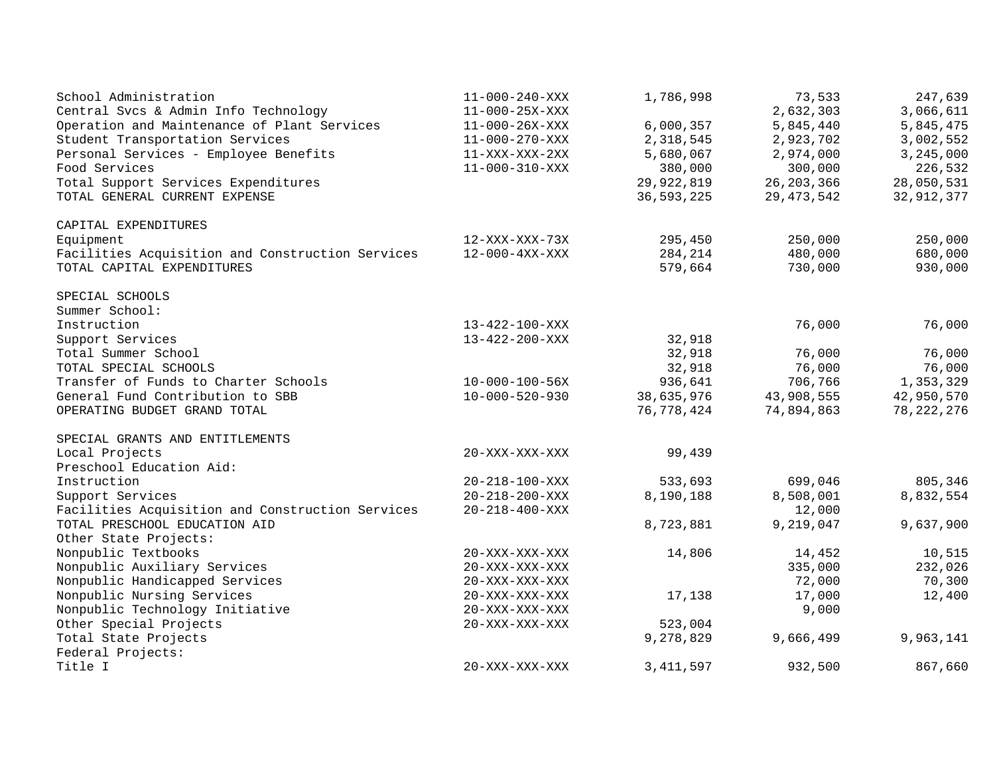| School Administration                            | $11 - 000 - 240 - XXX$ | 1,786,998    | 73,533       | 247,639      |
|--------------------------------------------------|------------------------|--------------|--------------|--------------|
| Central Svcs & Admin Info Technology             | $11 - 000 - 25X - XXX$ |              | 2,632,303    | 3,066,611    |
| Operation and Maintenance of Plant Services      | $11 - 000 - 26X - XXX$ | 6,000,357    | 5,845,440    | 5,845,475    |
| Student Transportation Services                  | $11 - 000 - 270 - XXX$ | 2,318,545    | 2,923,702    | 3,002,552    |
| Personal Services - Employee Benefits            | $11 - XXX - XXX - 2XX$ | 5,680,067    | 2,974,000    | 3,245,000    |
| Food Services                                    | $11 - 000 - 310 - XXX$ | 380,000      | 300,000      | 226,532      |
| Total Support Services Expenditures              |                        | 29,922,819   | 26, 203, 366 | 28,050,531   |
| TOTAL GENERAL CURRENT EXPENSE                    |                        | 36, 593, 225 | 29, 473, 542 | 32,912,377   |
| CAPITAL EXPENDITURES                             |                        |              |              |              |
| Equipment                                        | $12 - XXX - XXX - 73X$ | 295,450      | 250,000      | 250,000      |
| Facilities Acquisition and Construction Services | $12 - 000 - 4XX - XXX$ | 284,214      | 480,000      | 680,000      |
| TOTAL CAPITAL EXPENDITURES                       |                        | 579,664      | 730,000      | 930,000      |
| SPECIAL SCHOOLS                                  |                        |              |              |              |
| Summer School:                                   |                        |              |              |              |
| Instruction                                      | 13-422-100-XXX         |              | 76,000       | 76,000       |
| Support Services                                 | $13 - 422 - 200 - XXX$ | 32,918       |              |              |
| Total Summer School                              |                        | 32,918       | 76,000       | 76,000       |
| TOTAL SPECIAL SCHOOLS                            |                        | 32,918       | 76,000       | 76,000       |
| Transfer of Funds to Charter Schools             | $10 - 000 - 100 - 56X$ | 936,641      | 706,766      | 1,353,329    |
| General Fund Contribution to SBB                 | $10 - 000 - 520 - 930$ | 38,635,976   | 43,908,555   | 42,950,570   |
| OPERATING BUDGET GRAND TOTAL                     |                        | 76,778,424   | 74,894,863   | 78, 222, 276 |
| SPECIAL GRANTS AND ENTITLEMENTS                  |                        |              |              |              |
| Local Projects                                   | 20-XXX-XXX-XXX         | 99,439       |              |              |
| Preschool Education Aid:                         |                        |              |              |              |
| Instruction                                      | $20 - 218 - 100 - XXX$ | 533,693      | 699,046      | 805,346      |
| Support Services                                 | $20 - 218 - 200 - XXX$ | 8,190,188    | 8,508,001    | 8,832,554    |
| Facilities Acquisition and Construction Services | $20 - 218 - 400 - XXX$ |              | 12,000       |              |
| TOTAL PRESCHOOL EDUCATION AID                    |                        | 8,723,881    | 9,219,047    | 9,637,900    |
| Other State Projects:                            |                        |              |              |              |
| Nonpublic Textbooks                              | $20 - XXX - XXX - XXX$ | 14,806       | 14,452       | 10,515       |
| Nonpublic Auxiliary Services                     | $20 - XXX - XXX - XXX$ |              | 335,000      | 232,026      |
| Nonpublic Handicapped Services                   | $20 - XXX - XXX - XXX$ |              | 72,000       | 70,300       |
| Nonpublic Nursing Services                       | 20-XXX-XXX-XXX         | 17,138       | 17,000       | 12,400       |
| Nonpublic Technology Initiative                  | 20-XXX-XXX-XXX         |              | 9,000        |              |
| Other Special Projects                           | $20 - XXX - XXX - XXX$ | 523,004      |              |              |
| Total State Projects                             |                        | 9,278,829    | 9,666,499    | 9,963,141    |
| Federal Projects:                                |                        |              |              |              |
| Title I                                          | 20-XXX-XXX-XXX         | 3, 411, 597  | 932,500      | 867,660      |
|                                                  |                        |              |              |              |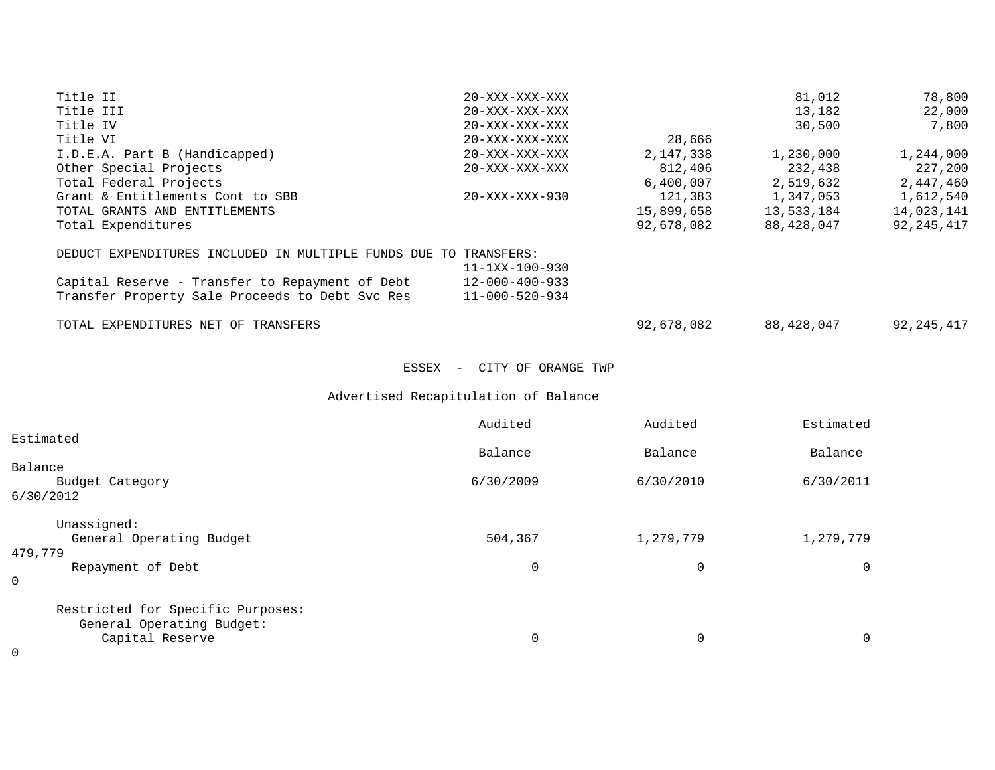| Title II                                                         | $20 - XXX - XXX - XXX$               |             | 81,012      | 78,800       |
|------------------------------------------------------------------|--------------------------------------|-------------|-------------|--------------|
| Title III                                                        | $20 - XXX - XXX - XXX$               |             | 13,182      | 22,000       |
| Title IV                                                         | 20-XXX-XXX-XXX                       |             | 30,500      | 7,800        |
| Title VI                                                         | 20-XXX-XXX-XXX                       | 28,666      |             |              |
| I.D.E.A. Part B (Handicapped)                                    | $20 - XXX - XXX - XXX$               | 2,147,338   | 1,230,000   | 1,244,000    |
| Other Special Projects                                           | $20 - XXX - XXX - XXX$               | 812,406     | 232,438     | 227,200      |
| Total Federal Projects                                           |                                      | 6,400,007   | 2,519,632   | 2,447,460    |
| Grant & Entitlements Cont to SBB                                 | 20-XXX-XXX-930                       | 121,383     | 1,347,053   | 1,612,540    |
| TOTAL GRANTS AND ENTITLEMENTS                                    |                                      | 15,899,658  | 13,533,184  | 14,023,141   |
| Total Expenditures                                               |                                      | 92,678,082  | 88,428,047  | 92, 245, 417 |
| DEDUCT EXPENDITURES INCLUDED IN MULTIPLE FUNDS DUE TO TRANSFERS: |                                      |             |             |              |
|                                                                  | $11 - 1XX - 100 - 930$               |             |             |              |
| Capital Reserve - Transfer to Repayment of Debt                  | $12 - 000 - 400 - 933$               |             |             |              |
| Transfer Property Sale Proceeds to Debt Svc Res                  | 11-000-520-934                       |             |             |              |
| TOTAL EXPENDITURES NET OF TRANSFERS                              |                                      | 92,678,082  | 88,428,047  | 92, 245, 417 |
|                                                                  | ESSEX - CITY OF ORANGE TWP           |             |             |              |
|                                                                  | Advertised Recapitulation of Balance |             |             |              |
|                                                                  | Audited                              | Audited     | Estimated   |              |
| Estimated                                                        |                                      |             |             |              |
|                                                                  | Balance                              | Balance     | Balance     |              |
| Balance                                                          |                                      |             |             |              |
| Budget Category                                                  | 6/30/2009                            | 6/30/2010   | 6/30/2011   |              |
| 6/30/2012                                                        |                                      |             |             |              |
| Unassigned:                                                      |                                      |             |             |              |
| General Operating Budget                                         | 504,367                              | 1,279,779   | 1,279,779   |              |
| 479,779                                                          |                                      |             |             |              |
| Repayment of Debt<br>0                                           | $\mathbf{0}$                         | $\mathbf 0$ | $\mathbf 0$ |              |
|                                                                  |                                      |             |             |              |
| Restricted for Specific Purposes:                                |                                      |             |             |              |
| General Operating Budget:                                        |                                      |             |             |              |
| Capital Reserve                                                  | $\mathbf 0$                          | $\mathbf 0$ | $\mathbf 0$ |              |

0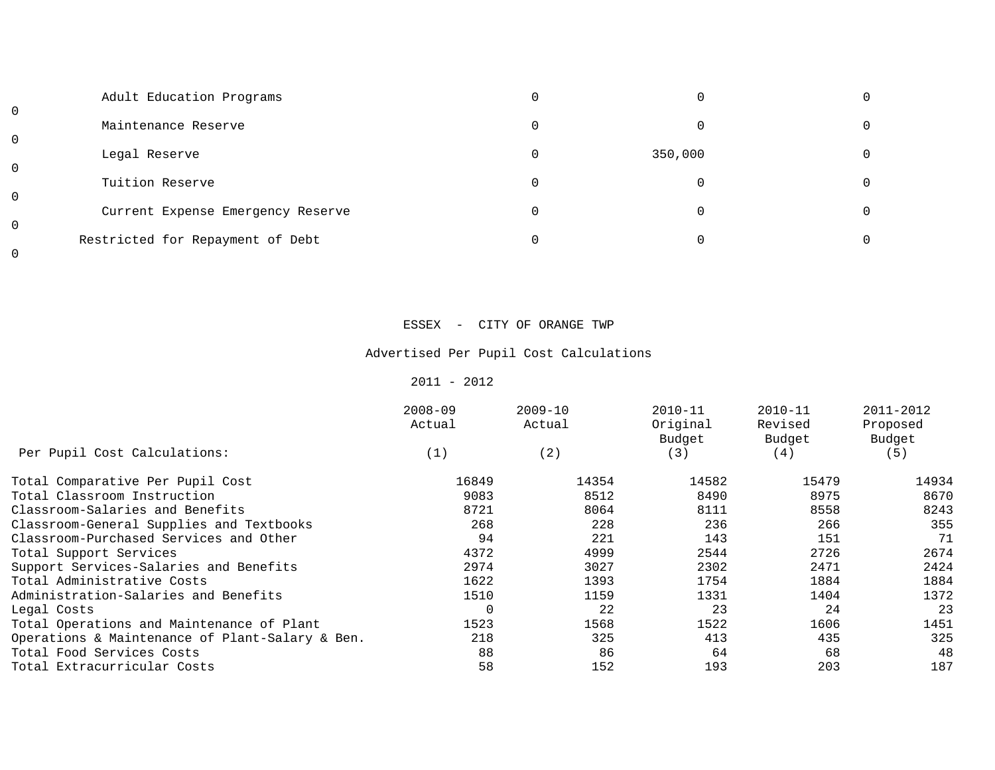| 0           | Adult Education Programs          |         |  |
|-------------|-----------------------------------|---------|--|
| $\mathbf 0$ | Maintenance Reserve               |         |  |
| $\mathbf 0$ | Legal Reserve                     | 350,000 |  |
| $\mathbf 0$ | Tuition Reserve                   |         |  |
| $\mathbf 0$ | Current Expense Emergency Reserve |         |  |
| 0           | Restricted for Repayment of Debt  |         |  |

### ESSEX - CITY OF ORANGE TWP

# Advertised Per Pupil Cost Calculations

### $2011 - 2012$

|                                                 | $2008 - 09$<br>Actual | $2009 - 10$<br>Actual | $2010 - 11$<br>Original<br>Budget | $2010 - 11$<br>Revised<br>Budget | 2011-2012<br>Proposed<br>Budget |
|-------------------------------------------------|-----------------------|-----------------------|-----------------------------------|----------------------------------|---------------------------------|
| Per Pupil Cost Calculations:                    | (1)                   | (2)                   | (3)                               | (4)                              | (5)                             |
| Total Comparative Per Pupil Cost                | 16849                 | 14354                 | 14582                             | 15479                            | 14934                           |
| Total Classroom Instruction                     | 9083                  | 8512                  | 8490                              | 8975                             | 8670                            |
| Classroom-Salaries and Benefits                 | 8721                  | 8064                  | 8111                              | 8558                             | 8243                            |
| Classroom-General Supplies and Textbooks        | 268                   | 228                   | 236                               | 266                              | 355                             |
| Classroom-Purchased Services and Other          | 94                    | 221                   | 143                               | 151                              | 71                              |
| Total Support Services                          | 4372                  | 4999                  | 2544                              | 2726                             | 2674                            |
| Support Services-Salaries and Benefits          | 2974                  | 3027                  | 2302                              | 2471                             | 2424                            |
| Total Administrative Costs                      | 1622                  | 1393                  | 1754                              | 1884                             | 1884                            |
| Administration-Salaries and Benefits            | 1510                  | 1159                  | 1331                              | 1404                             | 1372                            |
| Legal Costs                                     | 0                     | 22                    | 23                                | 24                               | 23                              |
| Total Operations and Maintenance of Plant       | 1523                  | 1568                  | 1522                              | 1606                             | 1451                            |
| Operations & Maintenance of Plant-Salary & Ben. | 218                   | 325                   | 413                               | 435                              | 325                             |
| Total Food Services Costs                       | 88                    | 86                    | 64                                | 68                               | 48                              |
| Total Extracurricular Costs                     | 58                    | 152                   | 193                               | 203                              | 187                             |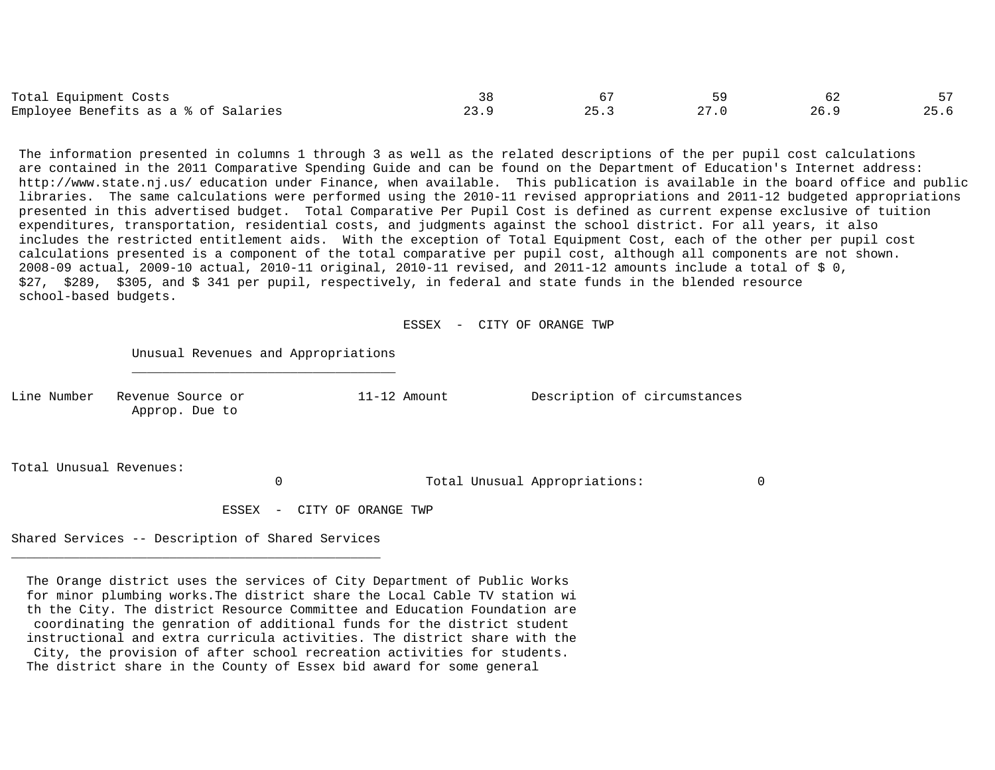| Total Equipment Costs                |     |        |      |  |
|--------------------------------------|-----|--------|------|--|
| Employee Benefits as a % of Salaries | . د | $\cap$ | 26.9 |  |

 The information presented in columns 1 through 3 as well as the related descriptions of the per pupil cost calculations are contained in the 2011 Comparative Spending Guide and can be found on the Department of Education's Internet address: http://www.state.nj.us/ education under Finance, when available. This publication is available in the board office and public libraries. The same calculations were performed using the 2010-11 revised appropriations and 2011-12 budgeted appropriations presented in this advertised budget. Total Comparative Per Pupil Cost is defined as current expense exclusive of tuition expenditures, transportation, residential costs, and judgments against the school district. For all years, it also includes the restricted entitlement aids. With the exception of Total Equipment Cost, each of the other per pupil cost calculations presented is a component of the total comparative per pupil cost, although all components are not shown. 2008-09 actual, 2009-10 actual, 2010-11 original, 2010-11 revised, and 2011-12 amounts include a total of \$ 0, \$27, \$289, \$305, and \$ 341 per pupil, respectively, in federal and state funds in the blended resource school-based budgets.

ESSEX - CITY OF ORANGE TWP

Unusual Revenues and Appropriations

Approp. Due to

Line Number Revenue Source or 11-12 Amount Description of circumstances

Total Unusual Revenues:

0 Total Unusual Appropriations: 0

ESSEX - CITY OF ORANGE TWP

Shared Services -- Description of Shared Services

 $\mathcal{L}_\text{max}$  and  $\mathcal{L}_\text{max}$  and  $\mathcal{L}_\text{max}$  and  $\mathcal{L}_\text{max}$  and  $\mathcal{L}_\text{max}$ 

 The Orange district uses the services of City Department of Public Works for minor plumbing works.The district share the Local Cable TV station wi th the City. The district Resource Committee and Education Foundation are coordinating the genration of additional funds for the district student instructional and extra curricula activities. The district share with the City, the provision of after school recreation activities for students. The district share in the County of Essex bid award for some general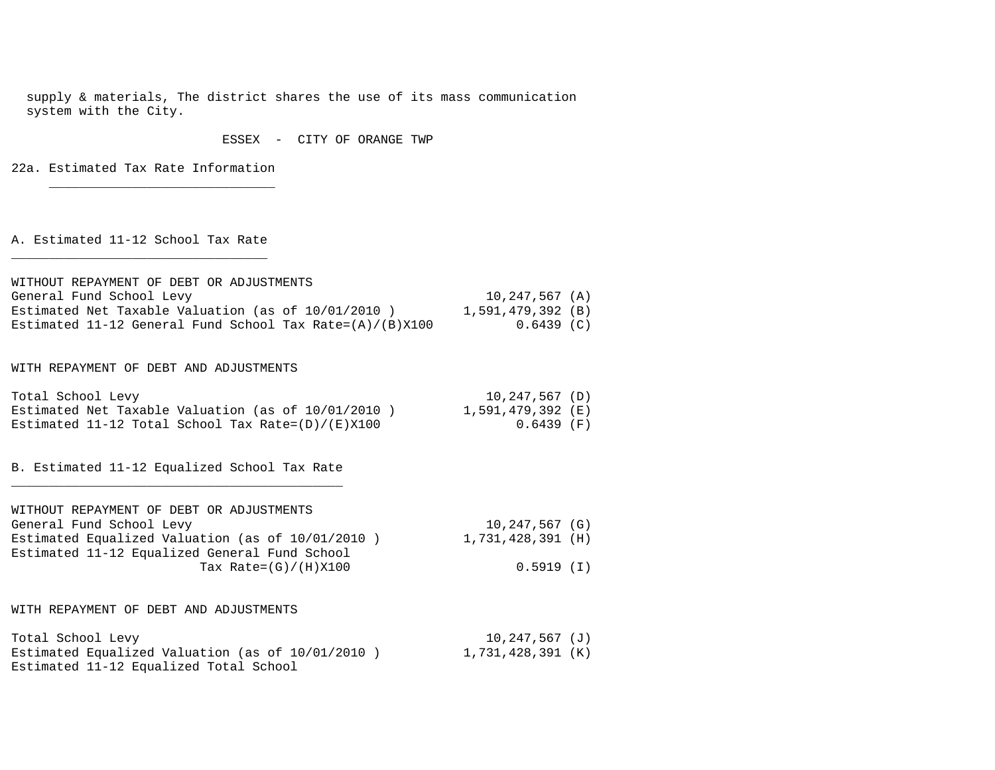supply & materials, The district shares the use of its mass communication system with the City.

#### ESSEX - CITY OF ORANGE TWP

22a. Estimated Tax Rate Information \_\_\_\_\_\_\_\_\_\_\_\_\_\_\_\_\_\_\_\_\_\_\_\_\_\_\_\_\_\_

A. Estimated 11-12 School Tax Rate

| WITHOUT REPAYMENT OF DEBT OR ADJUSTMENTS                    |                    |
|-------------------------------------------------------------|--------------------|
| General Fund School Levy                                    | $10, 247, 567$ (A) |
| Estimated Net Taxable Valuation (as of 10/01/2010)          | 1,591,479,392 (B)  |
| Estimated 11-12 General Fund School Tax Rate= $(A)/(B)X100$ | $0.6439$ (C)       |

### WITH REPAYMENT OF DEBT AND ADJUSTMENTS

| Total School Levy                                    | 10,247,567 (D)    |
|------------------------------------------------------|-------------------|
| Estimated Net Taxable Valuation (as of 10/01/2010)   | 1,591,479,392 (E) |
| Estimated 11-12 Total School Tax Rate= $(D)/(E)X100$ | 0.6439 (F)        |

B. Estimated 11-12 Equalized School Tax Rate \_\_\_\_\_\_\_\_\_\_\_\_\_\_\_\_\_\_\_\_\_\_\_\_\_\_\_\_\_\_\_\_\_\_\_\_\_\_\_\_\_\_\_\_

| WITHOUT REPAYMENT OF DEBT OR ADJUSTMENTS            |                    |
|-----------------------------------------------------|--------------------|
| General Fund School Levy                            | $10, 247, 567$ (G) |
| Estimated Equalized Valuation (as of $10/01/2010$ ) | 1,731,428,391 (H)  |
| Estimated 11-12 Equalized General Fund School       |                    |
| Tax Rate= $(G)/(H)X100$                             | 0.5919 (I)         |

WITH REPAYMENT OF DEBT AND ADJUSTMENTS

| Total School Levy                                | 10,247,567 (J)    |
|--------------------------------------------------|-------------------|
| Estimated Equalized Valuation (as of 10/01/2010) | 1,731,428,391 (K) |
| Estimated 11-12 Equalized Total School           |                   |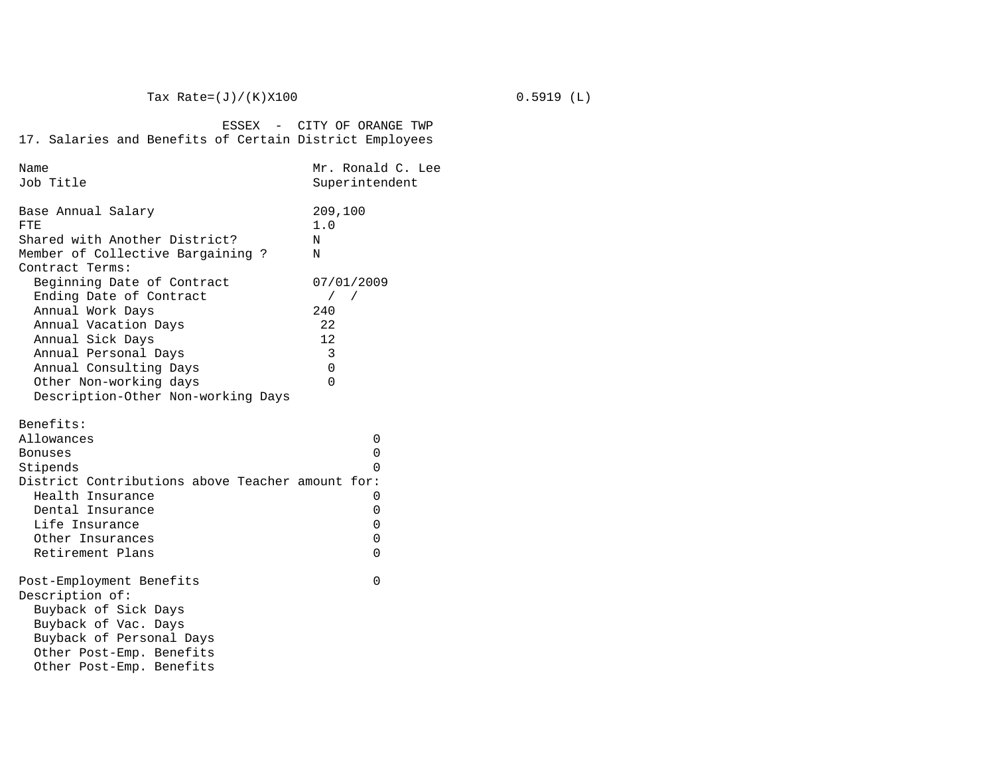| Name                                                                                                                                                                                                                                    | Mr. Ronald C. Lee                                                                              |
|-----------------------------------------------------------------------------------------------------------------------------------------------------------------------------------------------------------------------------------------|------------------------------------------------------------------------------------------------|
| Job Title                                                                                                                                                                                                                               | Superintendent                                                                                 |
| Base Annual Salary<br>FTE.<br>Shared with Another District?<br>Member of Collective Bargaining ?<br>Contract Terms:                                                                                                                     | 209,100<br>1.0<br>N<br>Ν                                                                       |
| Beginning Date of Contract<br>Ending Date of Contract<br>Annual Work Days<br>Annual Vacation Days<br>Annual Sick Days<br>Annual Personal Days<br>Annual Consulting Days<br>Other Non-working days<br>Description-Other Non-working Days | 07/01/2009<br>$\sqrt{2}$<br>$\sqrt{2}$<br>240<br>22<br>$12 \,$<br>3<br>$\mathbf 0$<br>$\Omega$ |
| Benefits:<br>Allowances                                                                                                                                                                                                                 | 0                                                                                              |
| Bonuses                                                                                                                                                                                                                                 | 0                                                                                              |
| Stipends                                                                                                                                                                                                                                | 0                                                                                              |
| District Contributions above Teacher amount for:                                                                                                                                                                                        |                                                                                                |
| Health Insurance                                                                                                                                                                                                                        | 0                                                                                              |
| Dental Insurance                                                                                                                                                                                                                        | 0                                                                                              |
| Life Insurance                                                                                                                                                                                                                          | 0                                                                                              |
| Other Insurances                                                                                                                                                                                                                        | $\mathbf 0$                                                                                    |
| Retirement Plans                                                                                                                                                                                                                        | $\Omega$                                                                                       |
| Post-Employment Benefits<br>Description of:<br>Buyback of Sick Days<br>Buyback of Vac. Days                                                                                                                                             | $\Omega$                                                                                       |
| Buyback of Personal Days<br>Other Post-Emp. Benefits<br>Other Post-Emp. Benefits                                                                                                                                                        |                                                                                                |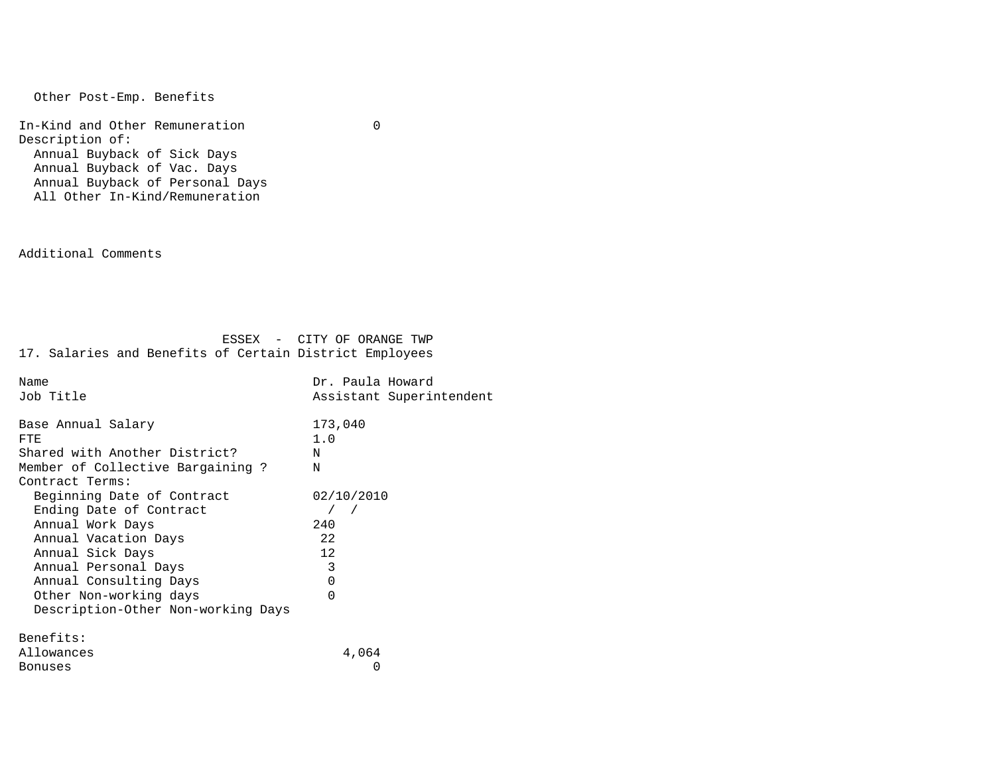Other Post-Emp. Benefits

 In-Kind and Other Remuneration 0 Description of: Annual Buyback of Sick Days Annual Buyback of Vac. Days Annual Buyback of Personal Days All Other In-Kind/Remuneration

Additional Comments

| Name                               | Dr. Paula Howard         |
|------------------------------------|--------------------------|
| Job Title                          | Assistant Superintendent |
|                                    |                          |
| Base Annual Salary                 | 173,040                  |
| FTE.                               | 1.0                      |
| Shared with Another District?      | N                        |
| Member of Collective Bargaining ?  | N                        |
| Contract Terms:                    |                          |
| Beginning Date of Contract         | 02/10/2010               |
| Ending Date of Contract            |                          |
| Annual Work Days                   | 240                      |
| Annual Vacation Days               | 22                       |
| Annual Sick Days                   | 12                       |
| Annual Personal Days               | 3                        |
| Annual Consulting Days             | 0                        |
| Other Non-working days             | $\Omega$                 |
| Description-Other Non-working Days |                          |
|                                    |                          |
| Benefits:                          |                          |
| Allowances                         | 4,064                    |
| Bonuses                            | 0                        |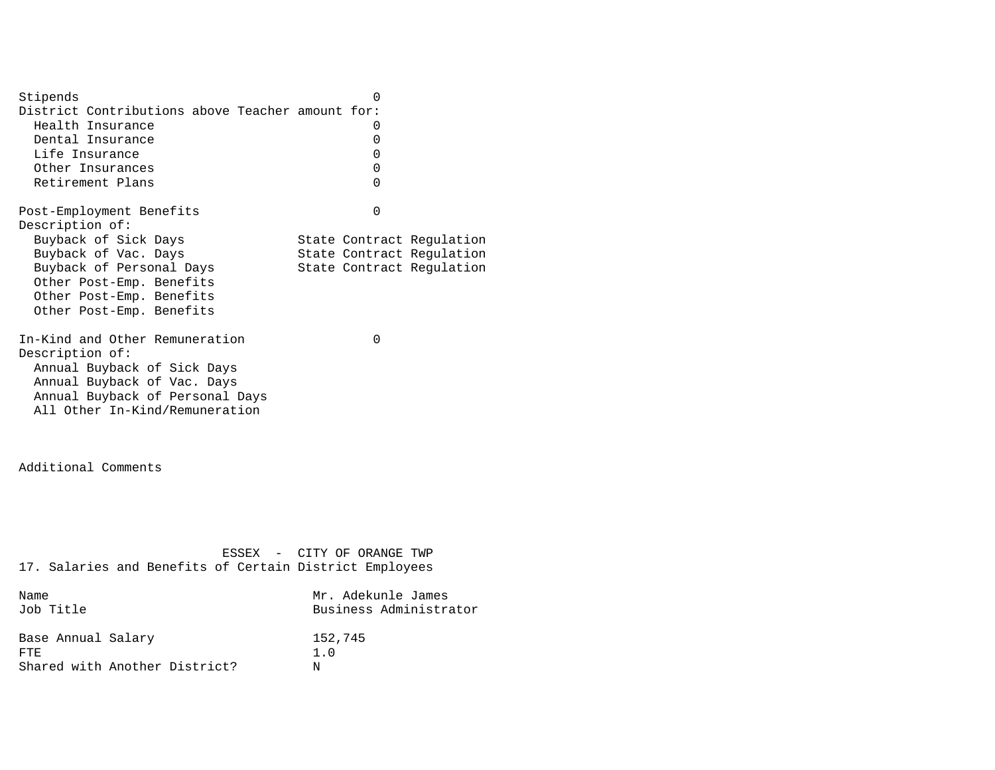Stipends 0 District Contributions above Teacher amount for: Health Insurance 0 Dental Insurance 0 Life Insurance 0 Other Insurances 0 Retirement Plans 0 Post-Employment Benefits 0 Description of: Buyback of Sick Days State Contract Regulation Buyback of Vac. Days State Contract Regulation Buyback of Personal Days State Contract Regulation Other Post-Emp. Benefits Other Post-Emp. Benefits Other Post-Emp. Benefits In-Kind and Other Remuneration 0 Description of: Annual Buyback of Sick Days Annual Buyback of Vac. Days Annual Buyback of Personal Days All Other In-Kind/Remuneration

Additional Comments

 ESSEX - CITY OF ORANGE TWP 17. Salaries and Benefits of Certain District Employees Name Mr. Adekunle James

| Job Title                     | Business Administrator |
|-------------------------------|------------------------|
| Base Annual Salary<br>FTF.    | 152,745<br>1.0         |
| Shared with Another District? | N                      |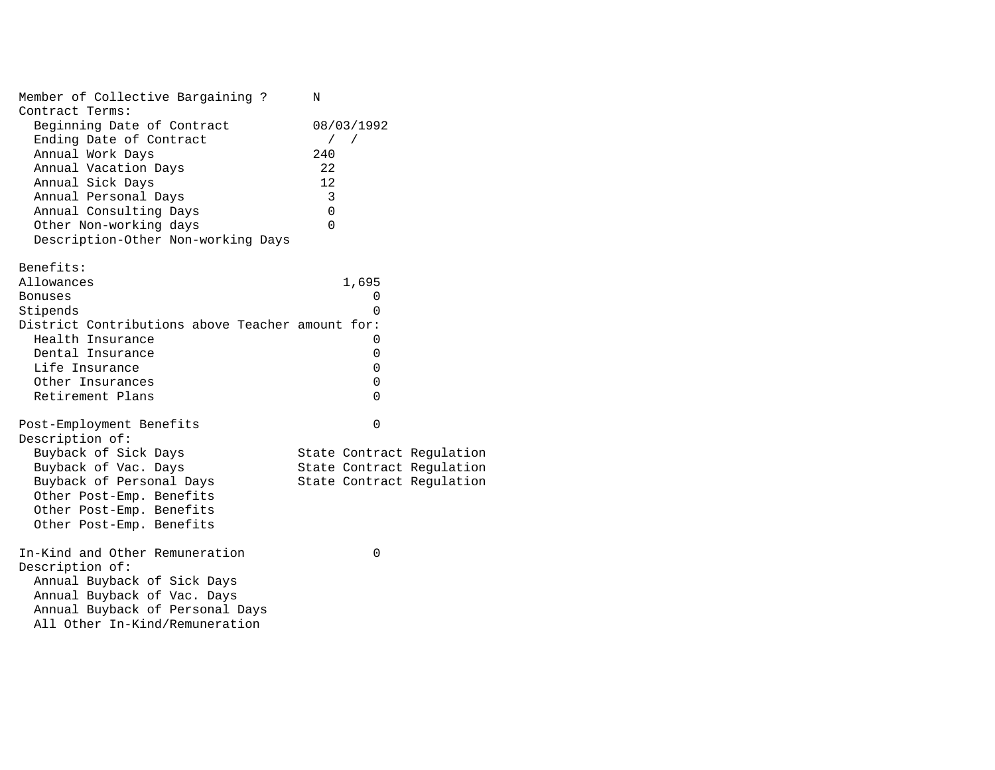| Member of Collective Bargaining ?<br>Contract Terms: | N                         |  |
|------------------------------------------------------|---------------------------|--|
| Beginning Date of Contract                           | 08/03/1992                |  |
| Ending Date of Contract                              | $\sqrt{2}$                |  |
| Annual Work Days                                     | 240                       |  |
| Annual Vacation Days                                 | 22                        |  |
| Annual Sick Days                                     | 12                        |  |
| Annual Personal Days                                 | 3                         |  |
| Annual Consulting Days                               | $\Omega$                  |  |
| Other Non-working days                               | $\Omega$                  |  |
| Description-Other Non-working Days                   |                           |  |
| Benefits:                                            |                           |  |
| Allowances                                           | 1,695                     |  |
| <b>Bonuses</b>                                       | 0                         |  |
| Stipends                                             | 0                         |  |
| District Contributions above Teacher amount for:     |                           |  |
| Health Insurance                                     | 0                         |  |
| Dental Insurance                                     | 0                         |  |
| Life Insurance                                       | 0                         |  |
| Other Insurances<br>Retirement Plans                 | 0<br>$\Omega$             |  |
|                                                      |                           |  |
| Post-Employment Benefits                             | $\Omega$                  |  |
| Description of:                                      |                           |  |
| Buyback of Sick Days                                 | State Contract Regulation |  |
| Buyback of Vac. Days                                 | State Contract Regulation |  |
| Buyback of Personal Days                             | State Contract Regulation |  |
| Other Post-Emp. Benefits                             |                           |  |
| Other Post-Emp. Benefits                             |                           |  |
| Other Post-Emp. Benefits                             |                           |  |
| In-Kind and Other Remuneration                       | 0                         |  |
| Description of:                                      |                           |  |
| Annual Buyback of Sick Days                          |                           |  |
| Annual Buyback of Vac. Days                          |                           |  |
| Annual Buyback of Personal Days                      |                           |  |
| All Other In-Kind/Remuneration                       |                           |  |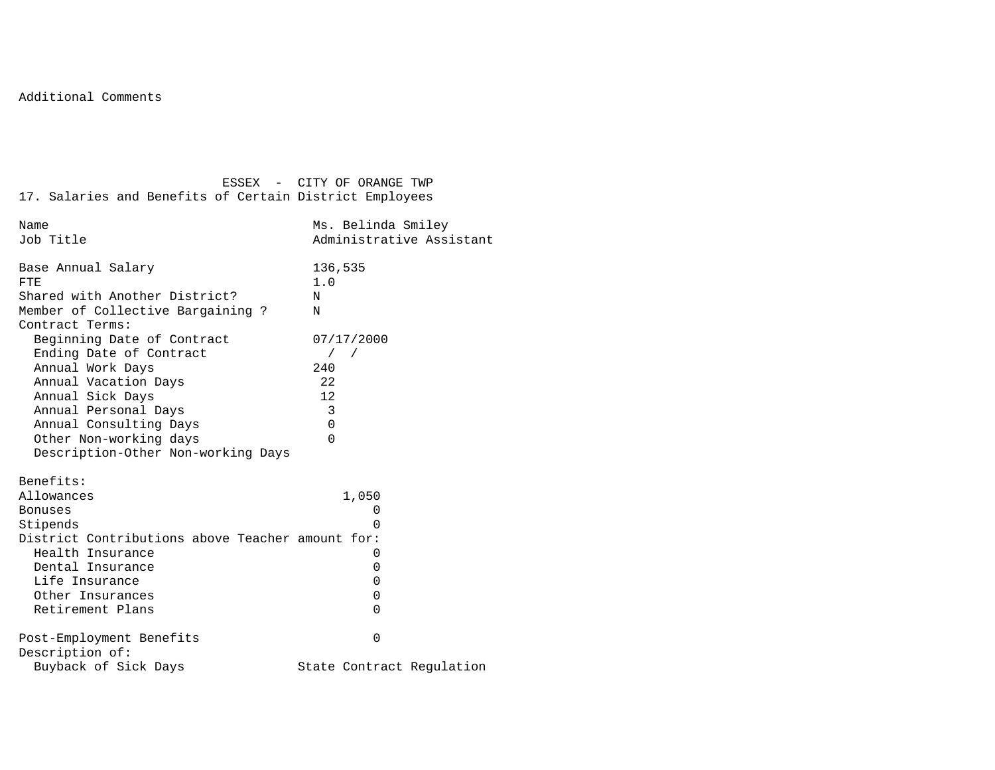| 17. Salaries and Benefits of Certain District Employees                                                                                                                                                   | ESSEX - CITY OF ORANGE TWP                                       |
|-----------------------------------------------------------------------------------------------------------------------------------------------------------------------------------------------------------|------------------------------------------------------------------|
| Name<br>Job Title                                                                                                                                                                                         | Ms. Belinda Smiley<br>Administrative Assistant                   |
| Base Annual Salary<br>FTE<br>Shared with Another District?<br>Member of Collective Bargaining ?<br>Contract Terms:<br>Beginning Date of Contract                                                          | 136,535<br>1.0<br>N<br>N<br>07/17/2000                           |
| Ending Date of Contract<br>Annual Work Days<br>Annual Vacation Days<br>Annual Sick Days<br>Annual Personal Days<br>Annual Consulting Days<br>Other Non-working days<br>Description-Other Non-working Days | $\left  \right $<br>240<br>22<br>12<br>3<br>$\Omega$<br>$\Omega$ |
| Benefits:<br>Allowances<br>Bonuses<br>Stipends<br>District Contributions above Teacher amount for:<br>Health Insurance<br>Dental Insurance<br>Life Insurance<br>Other Insurances<br>Retirement Plans      | 1,050<br>$\Omega$<br>U<br>0<br>0<br>0<br>0<br>0                  |
| Post-Employment Benefits<br>Description of:<br>Buyback of Sick Days                                                                                                                                       | 0<br>State Contract Regulation                                   |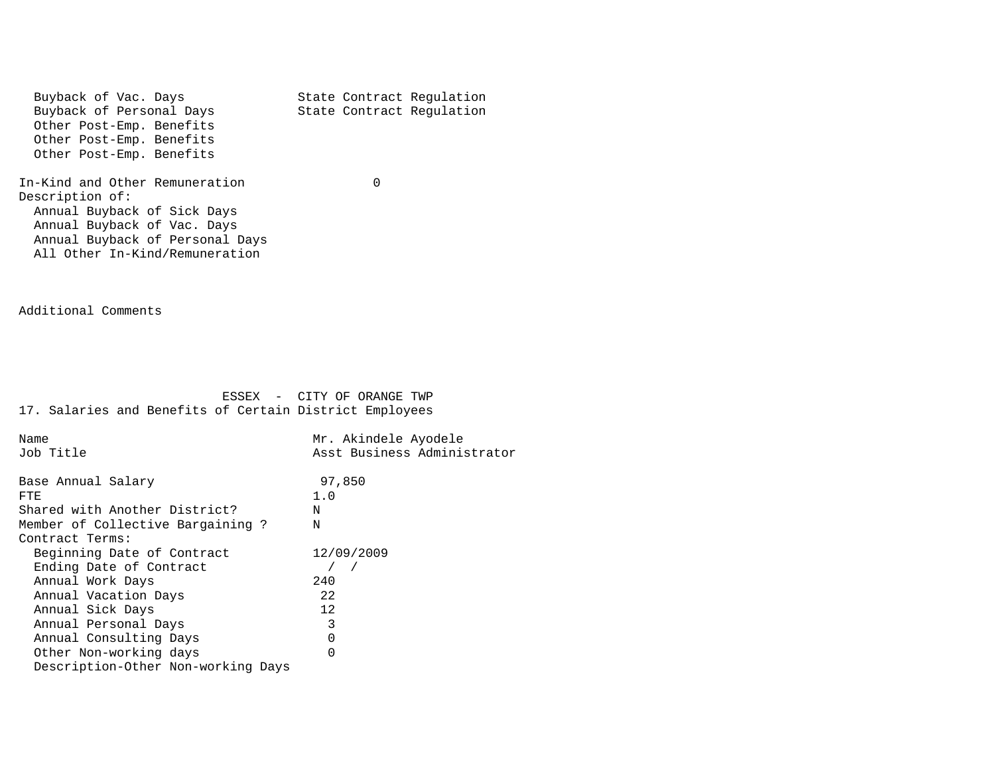Buyback of Vac. Days<br>Buyback of Personal Days<br>State Contract Regulation State Contract Regulation Other Post-Emp. Benefits Other Post-Emp. Benefits Other Post-Emp. Benefits In-Kind and Other Remuneration 0 Description of: Annual Buyback of Sick Days Annual Buyback of Vac. Days Annual Buyback of Personal Days All Other In-Kind/Remuneration

Additional Comments

| Name                               | Mr. Akindele Ayodele        |
|------------------------------------|-----------------------------|
| Job Title                          | Asst Business Administrator |
|                                    |                             |
| Base Annual Salary                 | 97,850                      |
| FTE.                               | 1.0                         |
| Shared with Another District?      | N                           |
| Member of Collective Bargaining ?  | N                           |
| Contract Terms:                    |                             |
| Beginning Date of Contract         | 12/09/2009                  |
| Ending Date of Contract            |                             |
| Annual Work Days                   | 240                         |
| Annual Vacation Days               | 22                          |
| Annual Sick Days                   | 12                          |
| Annual Personal Days               | 3                           |
| Annual Consulting Days             | 0                           |
| Other Non-working days             | O                           |
| Description-Other Non-working Days |                             |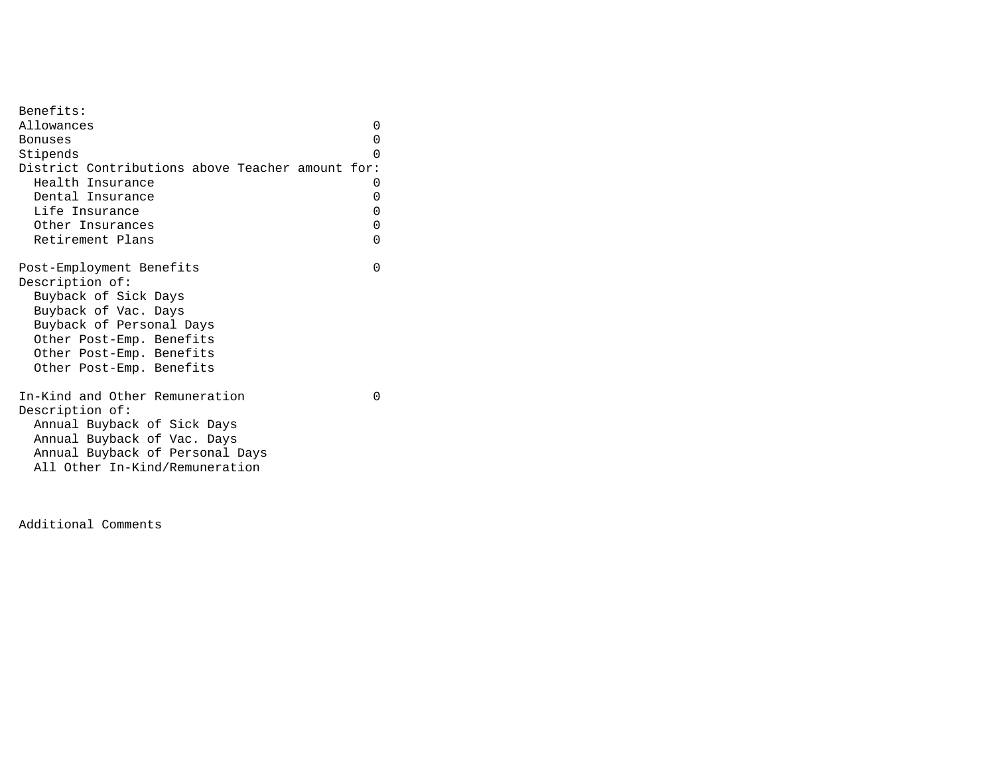| Benefits:                                        |          |
|--------------------------------------------------|----------|
| Allowances                                       | 0        |
| Bonuses                                          | 0        |
| Stipends                                         | O        |
| District Contributions above Teacher amount for: |          |
| Health Insurance                                 | 0        |
| Dental Insurance                                 | 0        |
|                                                  |          |
| Life Insurance                                   | 0        |
| Other Insurances                                 | 0        |
| Retirement Plans                                 | 0        |
|                                                  |          |
| Post-Employment Benefits                         | $\Omega$ |
| Description of:                                  |          |
| Buyback of Sick Days                             |          |
| Buyback of Vac. Days                             |          |
| Buyback of Personal Days                         |          |
| Other Post-Emp. Benefits                         |          |
| Other Post-Emp. Benefits                         |          |
| Other Post-Emp. Benefits                         |          |
|                                                  |          |
| In-Kind and Other Remuneration                   | ∩        |
| Description of:                                  |          |
| Annual Buyback of Sick Days                      |          |
| Annual Buyback of Vac. Days                      |          |
| Annual Buyback of Personal Days                  |          |
| All Other In-Kind/Remuneration                   |          |
|                                                  |          |
|                                                  |          |

Additional Comments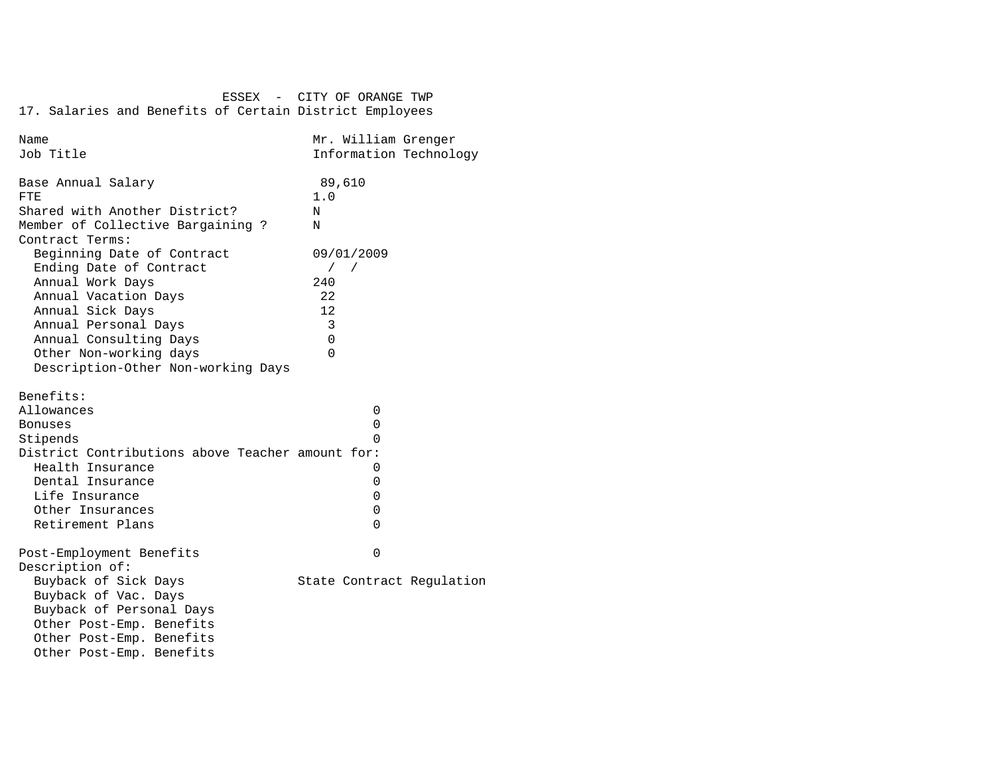| Name                                             | Mr. William Grenger       |
|--------------------------------------------------|---------------------------|
| Job Title                                        | Information Technology    |
|                                                  |                           |
| Base Annual Salary                               | 89,610                    |
| FTE                                              | 1.0                       |
| Shared with Another District?                    | N                         |
| Member of Collective Bargaining ?                | N                         |
| Contract Terms:                                  |                           |
| Beginning Date of Contract                       | 09/01/2009                |
| Ending Date of Contract                          | $\sqrt{2}$                |
| Annual Work Days                                 | 240                       |
| Annual Vacation Days                             | 22                        |
| Annual Sick Days                                 | 12.                       |
| Annual Personal Days                             | 3                         |
| Annual Consulting Days                           | $\Omega$                  |
| Other Non-working days                           | $\Omega$                  |
| Description-Other Non-working Days               |                           |
|                                                  |                           |
| Benefits:                                        |                           |
| Allowances                                       | 0                         |
| <b>Bonuses</b>                                   | 0                         |
| Stipends                                         | <sup>n</sup>              |
| District Contributions above Teacher amount for: |                           |
| Health Insurance                                 | 0                         |
| Dental Insurance                                 | 0                         |
| Life Insurance                                   | 0                         |
| Other Insurances                                 | 0                         |
| Retirement Plans                                 | $\Omega$                  |
|                                                  |                           |
| Post-Employment Benefits                         | $\Omega$                  |
| Description of:                                  |                           |
| Buyback of Sick Days                             | State Contract Regulation |
| Buyback of Vac. Days                             |                           |
| Buyback of Personal Days                         |                           |
| Other Post-Emp. Benefits                         |                           |
| Other Post-Emp. Benefits                         |                           |
| Other Post-Emp. Benefits                         |                           |
|                                                  |                           |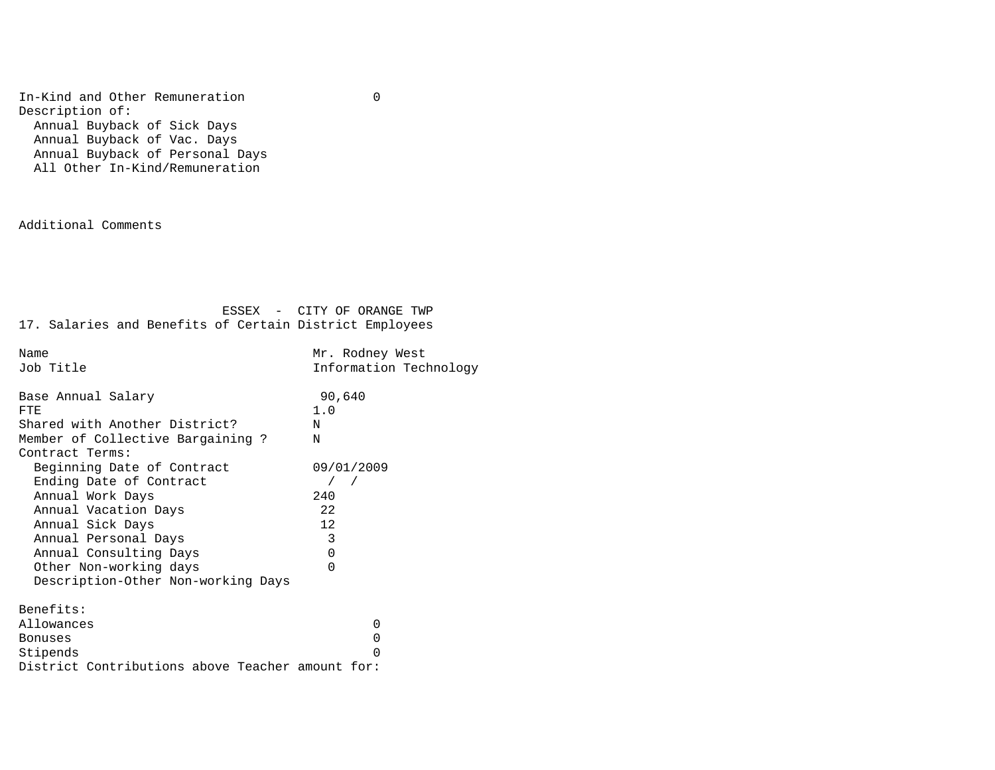In-Kind and Other Remuneration 0 Description of: Annual Buyback of Sick Days Annual Buyback of Vac. Days Annual Buyback of Personal Days All Other In-Kind/Remuneration

Additional Comments

| Name                                             | Mr. Rodney West        |
|--------------------------------------------------|------------------------|
| Job Title                                        | Information Technology |
|                                                  |                        |
| Base Annual Salary                               | 90,640                 |
| FTE                                              | 1.0                    |
| Shared with Another District?                    | N                      |
| Member of Collective Bargaining ?                | N                      |
| Contract Terms:                                  |                        |
| Beginning Date of Contract                       | 09/01/2009             |
| Ending Date of Contract                          | $\sqrt{2}$             |
| Annual Work Days                                 | 240                    |
| Annual Vacation Days                             | 22                     |
| Annual Sick Days                                 | 12.                    |
| Annual Personal Days                             | 3                      |
| Annual Consulting Days                           | $\Omega$               |
| Other Non-working days                           | $\Omega$               |
| Description-Other Non-working Days               |                        |
|                                                  |                        |
| Benefits:                                        |                        |
| Allowances                                       | 0                      |
| <b>Bonuses</b>                                   | 0                      |
| Stipends                                         | U                      |
| District Contributions above Teacher amount for: |                        |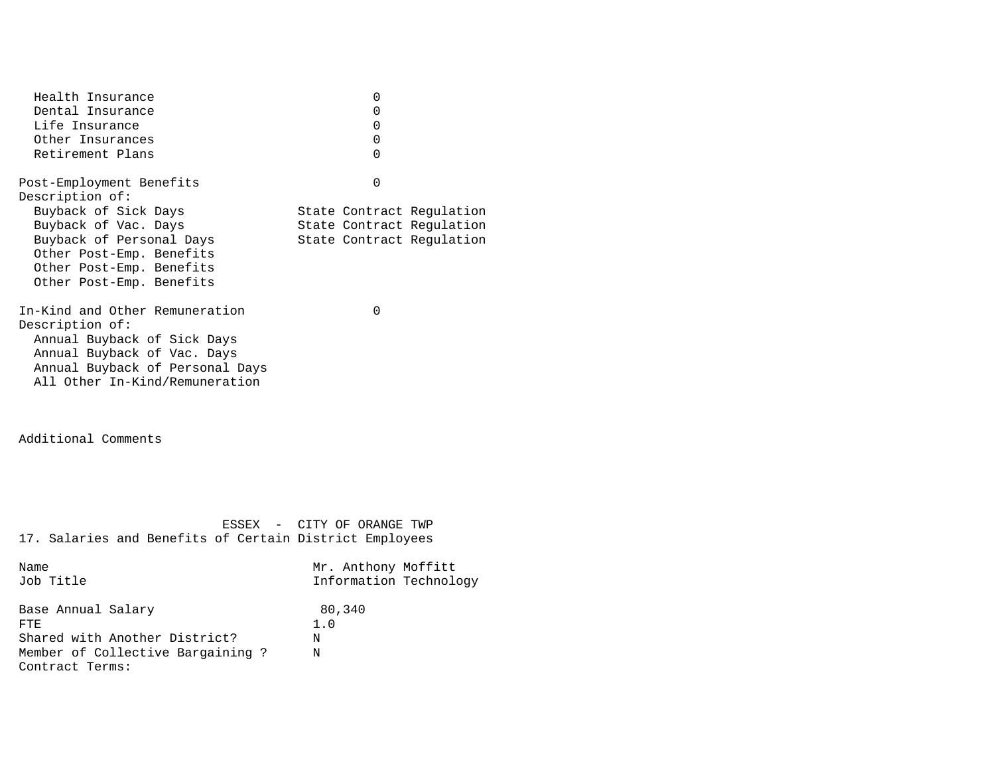| Health Insurance<br>Dental Insurance<br>Life Insurance<br>Other Insurances<br>Retirement Plans                                                                                       | 0<br>0<br>0<br>0<br>0                                                               |
|--------------------------------------------------------------------------------------------------------------------------------------------------------------------------------------|-------------------------------------------------------------------------------------|
| Post-Employment Benefits<br>Description of:                                                                                                                                          | $\Omega$                                                                            |
| Buyback of Sick Days<br>Buyback of Vac. Days<br>Buyback of Personal Days<br>Other Post-Emp. Benefits<br>Other Post-Emp. Benefits<br>Other Post-Emp. Benefits                         | State Contract Regulation<br>State Contract Regulation<br>State Contract Regulation |
| In-Kind and Other Remuneration<br>Description of:<br>Annual Buyback of Sick Days<br>Annual Buyback of Vac. Days<br>Annual Buyback of Personal Days<br>All Other In-Kind/Remuneration | $\Omega$                                                                            |
| Additional Comments                                                                                                                                                                  |                                                                                     |
| 17. Salaries and Benefits of Certain District Employees                                                                                                                              | ESSEX - CITY OF ORANGE TWP                                                          |
| Name<br>Job Title                                                                                                                                                                    | Mr. Anthony Moffitt<br>Information Technology                                       |
| Base Annual Salary<br>FTF.<br>Shared with Another District?<br>Member of Collective Bargaining ?<br>Contract Terms:                                                                  | 80,340<br>1.0<br>Ν<br>Ν                                                             |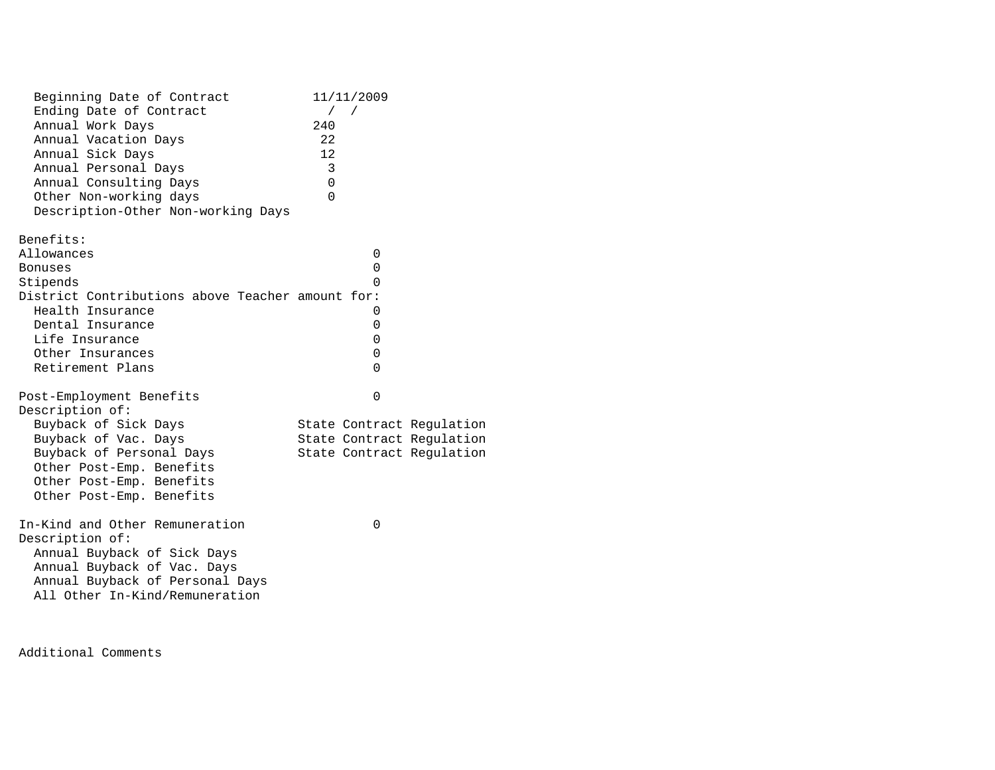| Beginning Date of Contract                       | 11/11/2009                |
|--------------------------------------------------|---------------------------|
| Ending Date of Contract                          | $\sqrt{2}$<br>$\sqrt{2}$  |
| Annual Work Days                                 | 240                       |
| Annual Vacation Days                             | 22                        |
| Annual Sick Days                                 | 12                        |
| Annual Personal Days                             | 3                         |
| Annual Consulting Days                           | 0                         |
| Other Non-working days                           | $\Omega$                  |
| Description-Other Non-working Days               |                           |
| Benefits:                                        |                           |
| Allowances                                       | 0                         |
| <b>Bonuses</b>                                   | 0                         |
| Stipends                                         | 0                         |
| District Contributions above Teacher amount for: |                           |
| Health Insurance                                 | 0                         |
| Dental Insurance                                 | 0                         |
| Life Insurance                                   | $\Omega$                  |
| Other Insurances                                 | 0                         |
| Retirement Plans                                 | $\Omega$                  |
| Post-Employment Benefits                         | $\Omega$                  |
| Description of:                                  |                           |
| Buyback of Sick Days                             | State Contract Regulation |
| Buyback of Vac. Days                             | State Contract Regulation |
| Buyback of Personal Days                         | State Contract Regulation |
| Other Post-Emp. Benefits                         |                           |
| Other Post-Emp. Benefits                         |                           |
| Other Post-Emp. Benefits                         |                           |
| In-Kind and Other Remuneration                   | 0                         |
| Description of:                                  |                           |
| Annual Buyback of Sick Days                      |                           |
| Annual Buyback of Vac. Days                      |                           |
| Annual Buyback of Personal Days                  |                           |
|                                                  |                           |

Additional Comments